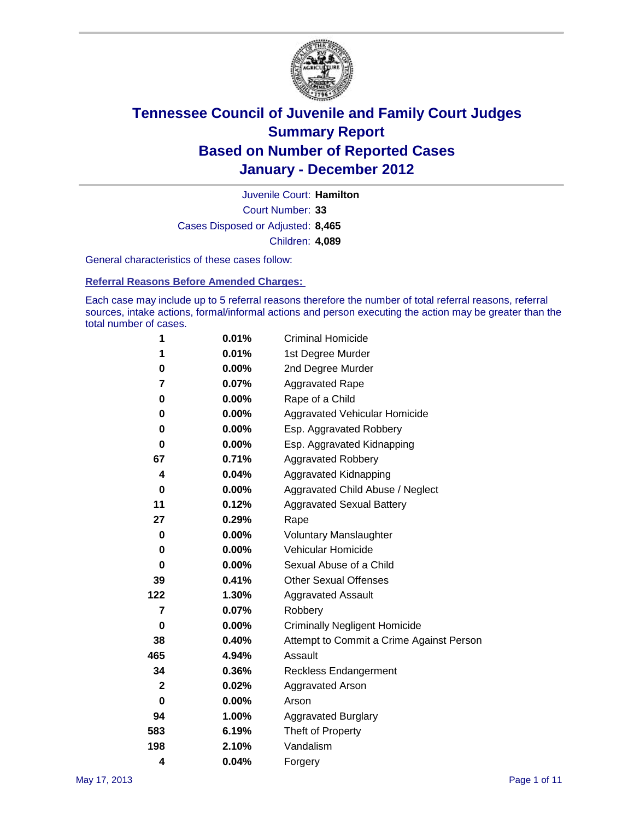

Court Number: **33** Juvenile Court: **Hamilton** Cases Disposed or Adjusted: **8,465** Children: **4,089**

General characteristics of these cases follow:

**Referral Reasons Before Amended Charges:** 

Each case may include up to 5 referral reasons therefore the number of total referral reasons, referral sources, intake actions, formal/informal actions and person executing the action may be greater than the total number of cases.

| 1            | 0.01%    | <b>Criminal Homicide</b>                 |
|--------------|----------|------------------------------------------|
| 1            | 0.01%    | 1st Degree Murder                        |
| 0            | $0.00\%$ | 2nd Degree Murder                        |
| 7            | 0.07%    | <b>Aggravated Rape</b>                   |
| 0            | $0.00\%$ | Rape of a Child                          |
| 0            | $0.00\%$ | Aggravated Vehicular Homicide            |
| 0            | $0.00\%$ | Esp. Aggravated Robbery                  |
| 0            | 0.00%    | Esp. Aggravated Kidnapping               |
| 67           | 0.71%    | <b>Aggravated Robbery</b>                |
| 4            | 0.04%    | Aggravated Kidnapping                    |
| 0            | 0.00%    | Aggravated Child Abuse / Neglect         |
| 11           | 0.12%    | <b>Aggravated Sexual Battery</b>         |
| 27           | 0.29%    | Rape                                     |
| 0            | $0.00\%$ | <b>Voluntary Manslaughter</b>            |
| 0            | 0.00%    | Vehicular Homicide                       |
| 0            | $0.00\%$ | Sexual Abuse of a Child                  |
| 39           | 0.41%    | <b>Other Sexual Offenses</b>             |
| 122          | 1.30%    | <b>Aggravated Assault</b>                |
| 7            | 0.07%    | Robbery                                  |
| 0            | $0.00\%$ | <b>Criminally Negligent Homicide</b>     |
| 38           | 0.40%    | Attempt to Commit a Crime Against Person |
| 465          | 4.94%    | Assault                                  |
| 34           | 0.36%    | <b>Reckless Endangerment</b>             |
| $\mathbf{2}$ | 0.02%    | <b>Aggravated Arson</b>                  |
| 0            | 0.00%    | Arson                                    |
| 94           | 1.00%    | <b>Aggravated Burglary</b>               |
| 583          | 6.19%    | Theft of Property                        |
| 198          | 2.10%    | Vandalism                                |
| 4            | 0.04%    | Forgery                                  |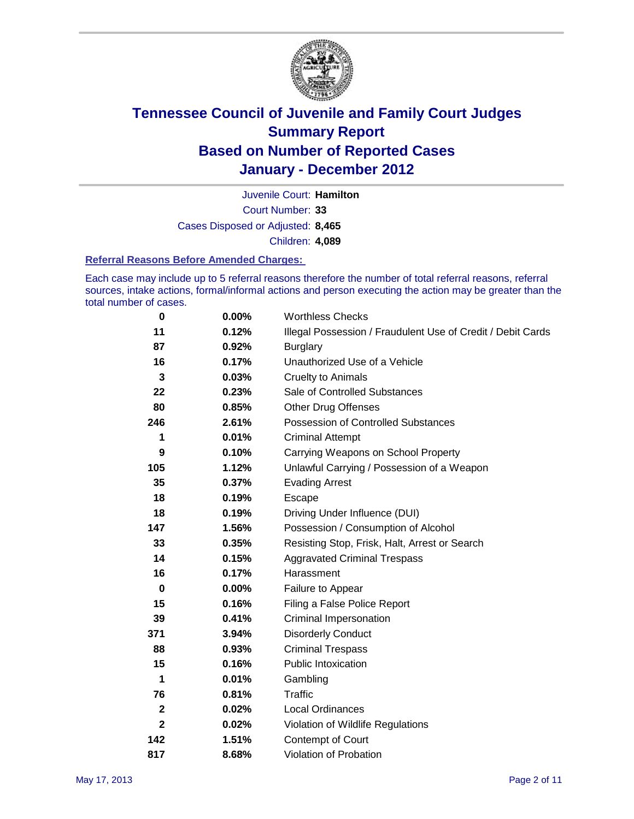

Court Number: **33** Juvenile Court: **Hamilton** Cases Disposed or Adjusted: **8,465** Children: **4,089**

#### **Referral Reasons Before Amended Charges:**

Each case may include up to 5 referral reasons therefore the number of total referral reasons, referral sources, intake actions, formal/informal actions and person executing the action may be greater than the total number of cases.

| $\bf{0}$     | 0.00% | <b>Worthless Checks</b>                                     |
|--------------|-------|-------------------------------------------------------------|
| 11           | 0.12% | Illegal Possession / Fraudulent Use of Credit / Debit Cards |
| 87           | 0.92% | <b>Burglary</b>                                             |
| 16           | 0.17% | Unauthorized Use of a Vehicle                               |
| 3            | 0.03% | <b>Cruelty to Animals</b>                                   |
| 22           | 0.23% | Sale of Controlled Substances                               |
| 80           | 0.85% | <b>Other Drug Offenses</b>                                  |
| 246          | 2.61% | <b>Possession of Controlled Substances</b>                  |
| 1            | 0.01% | <b>Criminal Attempt</b>                                     |
| 9            | 0.10% | Carrying Weapons on School Property                         |
| 105          | 1.12% | Unlawful Carrying / Possession of a Weapon                  |
| 35           | 0.37% | <b>Evading Arrest</b>                                       |
| 18           | 0.19% | Escape                                                      |
| 18           | 0.19% | Driving Under Influence (DUI)                               |
| 147          | 1.56% | Possession / Consumption of Alcohol                         |
| 33           | 0.35% | Resisting Stop, Frisk, Halt, Arrest or Search               |
| 14           | 0.15% | <b>Aggravated Criminal Trespass</b>                         |
| 16           | 0.17% | Harassment                                                  |
| $\bf{0}$     | 0.00% | Failure to Appear                                           |
| 15           | 0.16% | Filing a False Police Report                                |
| 39           | 0.41% | Criminal Impersonation                                      |
| 371          | 3.94% | <b>Disorderly Conduct</b>                                   |
| 88           | 0.93% | <b>Criminal Trespass</b>                                    |
| 15           | 0.16% | <b>Public Intoxication</b>                                  |
| 1            | 0.01% | Gambling                                                    |
| 76           | 0.81% | Traffic                                                     |
| $\mathbf{2}$ | 0.02% | <b>Local Ordinances</b>                                     |
| $\mathbf{2}$ | 0.02% | Violation of Wildlife Regulations                           |
| 142          | 1.51% | Contempt of Court                                           |
| 817          | 8.68% | Violation of Probation                                      |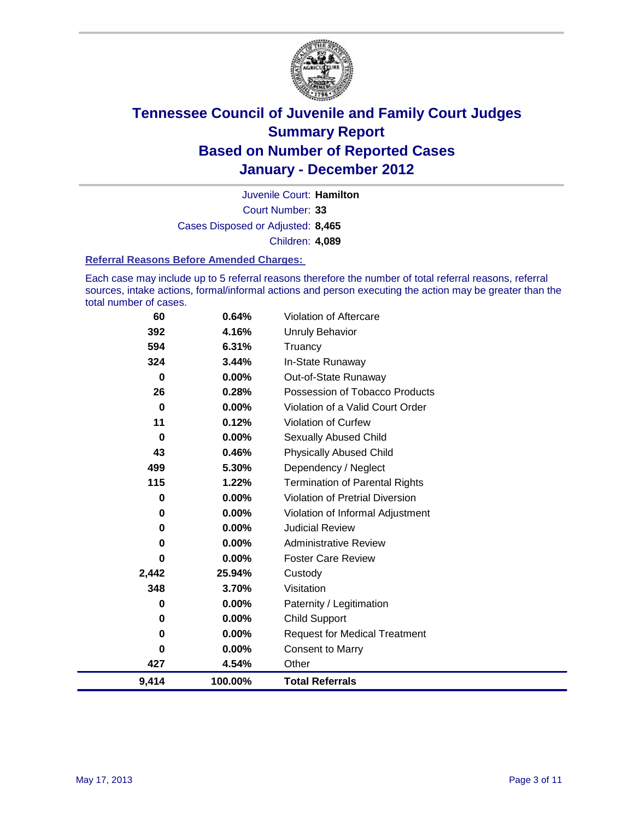

Court Number: **33** Juvenile Court: **Hamilton** Cases Disposed or Adjusted: **8,465** Children: **4,089**

#### **Referral Reasons Before Amended Charges:**

Each case may include up to 5 referral reasons therefore the number of total referral reasons, referral sources, intake actions, formal/informal actions and person executing the action may be greater than the total number of cases.

| 60       | 0.64%    | Violation of Aftercare                 |
|----------|----------|----------------------------------------|
| 392      | 4.16%    | Unruly Behavior                        |
| 594      | 6.31%    | Truancy                                |
| 324      | 3.44%    | In-State Runaway                       |
| 0        | $0.00\%$ | Out-of-State Runaway                   |
| 26       | 0.28%    | Possession of Tobacco Products         |
| $\bf{0}$ | $0.00\%$ | Violation of a Valid Court Order       |
| 11       | 0.12%    | <b>Violation of Curfew</b>             |
| $\bf{0}$ | 0.00%    | <b>Sexually Abused Child</b>           |
| 43       | 0.46%    | <b>Physically Abused Child</b>         |
| 499      | 5.30%    | Dependency / Neglect                   |
| 115      | 1.22%    | <b>Termination of Parental Rights</b>  |
| 0        | 0.00%    | <b>Violation of Pretrial Diversion</b> |
| 0        | $0.00\%$ | Violation of Informal Adjustment       |
| 0        | 0.00%    | <b>Judicial Review</b>                 |
| 0        | $0.00\%$ | <b>Administrative Review</b>           |
| 0        | 0.00%    | <b>Foster Care Review</b>              |
| 2,442    | 25.94%   | Custody                                |
| 348      | 3.70%    | Visitation                             |
| 0        | 0.00%    | Paternity / Legitimation               |
| 0        | $0.00\%$ | Child Support                          |
| 0        | $0.00\%$ | <b>Request for Medical Treatment</b>   |
| 0        | $0.00\%$ | <b>Consent to Marry</b>                |
| 427      | 4.54%    | Other                                  |
| 9,414    | 100.00%  | <b>Total Referrals</b>                 |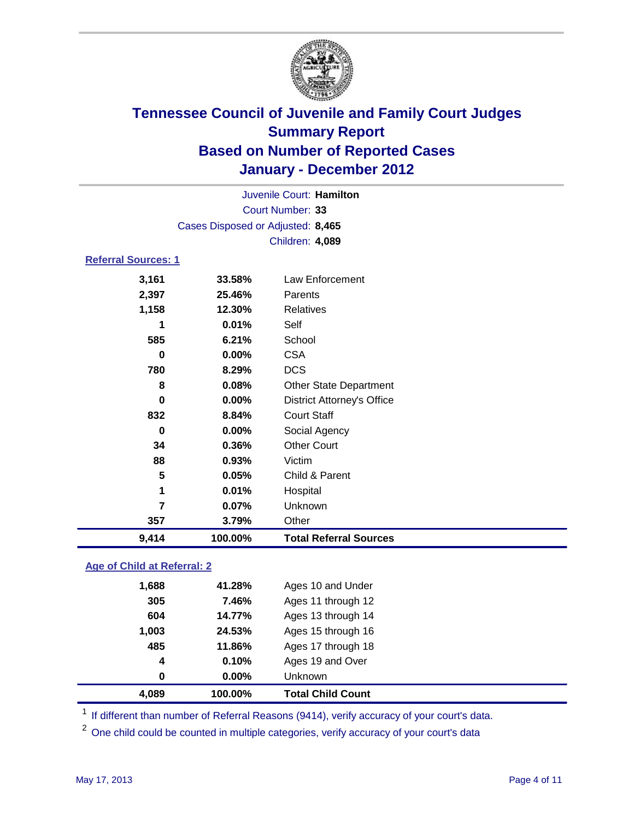

|                            | Juvenile Court: Hamilton          |                                   |  |  |  |
|----------------------------|-----------------------------------|-----------------------------------|--|--|--|
|                            |                                   | Court Number: 33                  |  |  |  |
|                            | Cases Disposed or Adjusted: 8,465 |                                   |  |  |  |
|                            | Children: 4,089                   |                                   |  |  |  |
| <b>Referral Sources: 1</b> |                                   |                                   |  |  |  |
| 3,161                      | 33.58%                            | Law Enforcement                   |  |  |  |
| 2,397                      | 25.46%                            | Parents                           |  |  |  |
| 1,158                      | 12.30%                            | Relatives                         |  |  |  |
| 1                          | 0.01%                             | Self                              |  |  |  |
| 585                        | 6.21%                             | School                            |  |  |  |
| 0                          | $0.00\%$                          | <b>CSA</b>                        |  |  |  |
| 780                        | 8.29%                             | <b>DCS</b>                        |  |  |  |
| 8                          | 0.08%                             | <b>Other State Department</b>     |  |  |  |
| $\bf{0}$                   | 0.00%                             | <b>District Attorney's Office</b> |  |  |  |
| 832                        | 8.84%                             | <b>Court Staff</b>                |  |  |  |
| 0                          | 0.00%                             | Social Agency                     |  |  |  |
| 34                         | 0.36%                             | <b>Other Court</b>                |  |  |  |
| 88                         | 0.93%                             | Victim                            |  |  |  |
| 5                          | 0.05%                             | Child & Parent                    |  |  |  |
| 1                          | 0.01%                             | Hospital                          |  |  |  |
| 7                          | 0.07%                             | Unknown                           |  |  |  |
| 357                        | 3.79%                             | Other                             |  |  |  |
| 9,414                      | 100.00%                           | <b>Total Referral Sources</b>     |  |  |  |

### **Age of Child at Referral: 2**

| 485<br>$\boldsymbol{4}$<br>0 | 11.86%<br>0.10%<br>0.00% | Ages 17 through 18<br>Ages 19 and Over<br><b>Unknown</b> |
|------------------------------|--------------------------|----------------------------------------------------------|
|                              |                          |                                                          |
|                              |                          |                                                          |
|                              |                          |                                                          |
| 24.53%<br>1,003              |                          | Ages 15 through 16                                       |
| 14.77%<br>604                |                          | Ages 13 through 14                                       |
|                              |                          | Ages 11 through 12                                       |
|                              |                          |                                                          |
|                              | 305                      | 7.46%                                                    |

<sup>1</sup> If different than number of Referral Reasons (9414), verify accuracy of your court's data.

<sup>2</sup> One child could be counted in multiple categories, verify accuracy of your court's data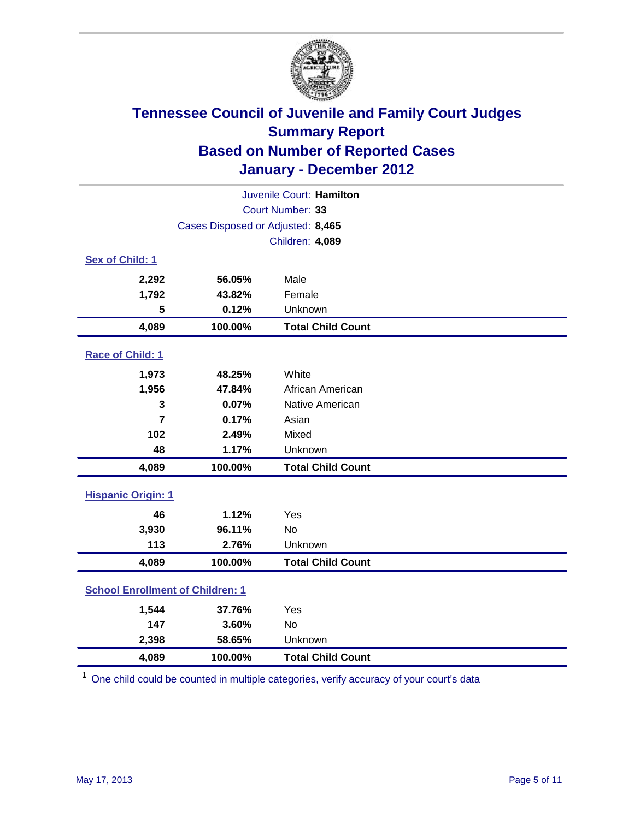

| Juvenile Court: Hamilton                |                                   |                          |  |  |  |
|-----------------------------------------|-----------------------------------|--------------------------|--|--|--|
|                                         | Court Number: 33                  |                          |  |  |  |
|                                         | Cases Disposed or Adjusted: 8,465 |                          |  |  |  |
| Children: 4,089                         |                                   |                          |  |  |  |
| Sex of Child: 1                         |                                   |                          |  |  |  |
| 2,292                                   | 56.05%                            | Male                     |  |  |  |
| 1,792                                   | 43.82%                            | Female                   |  |  |  |
| 5                                       | 0.12%                             | Unknown                  |  |  |  |
| 4,089                                   | 100.00%                           | <b>Total Child Count</b> |  |  |  |
| Race of Child: 1                        |                                   |                          |  |  |  |
| 1,973                                   | 48.25%                            | White                    |  |  |  |
| 1,956                                   | 47.84%                            | African American         |  |  |  |
| 3                                       | 0.07%                             | Native American          |  |  |  |
| 7                                       | 0.17%                             | Asian                    |  |  |  |
| 102                                     | 2.49%                             | Mixed                    |  |  |  |
| 48                                      | 1.17%                             | Unknown                  |  |  |  |
| 4,089                                   | 100.00%                           | <b>Total Child Count</b> |  |  |  |
| <b>Hispanic Origin: 1</b>               |                                   |                          |  |  |  |
| 46                                      | 1.12%                             | Yes                      |  |  |  |
| 3,930                                   | 96.11%                            | No                       |  |  |  |
| 113                                     | 2.76%                             | Unknown                  |  |  |  |
| 4,089                                   | 100.00%                           | <b>Total Child Count</b> |  |  |  |
| <b>School Enrollment of Children: 1</b> |                                   |                          |  |  |  |
| 1,544                                   | 37.76%                            | Yes                      |  |  |  |
| 147                                     | 3.60%                             | <b>No</b>                |  |  |  |
| 2,398                                   | 58.65%                            | Unknown                  |  |  |  |
| 4,089                                   | 100.00%                           | <b>Total Child Count</b> |  |  |  |

<sup>1</sup> One child could be counted in multiple categories, verify accuracy of your court's data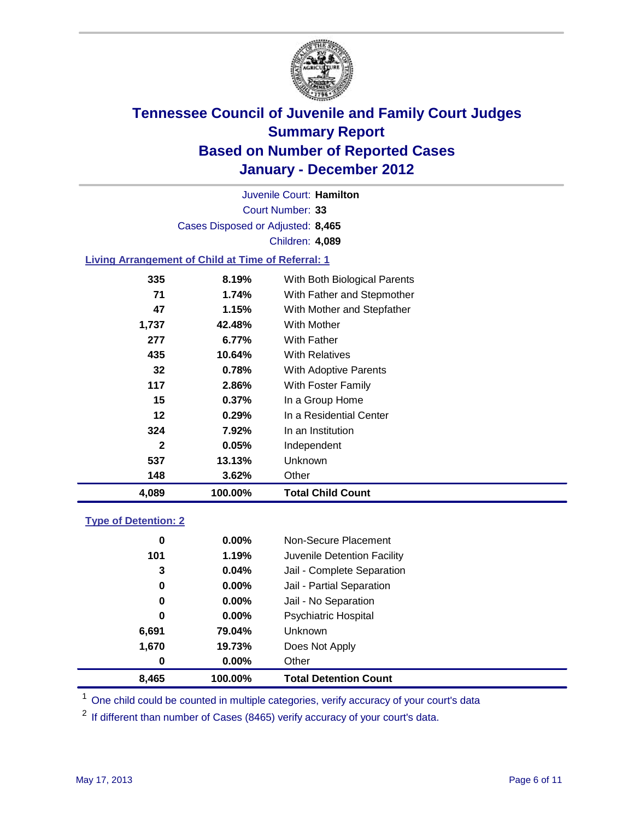

Court Number: **33** Juvenile Court: **Hamilton** Cases Disposed or Adjusted: **8,465** Children: **4,089**

### **Living Arrangement of Child at Time of Referral: 1**

| 4,089        | 100.00%  | <b>Total Child Count</b>     |  |
|--------------|----------|------------------------------|--|
| 148          | 3.62%    | Other                        |  |
| 537          | 13.13%   | Unknown                      |  |
| $\mathbf{2}$ | 0.05%    | Independent                  |  |
| 324          | 7.92%    | In an Institution            |  |
| 12           | 0.29%    | In a Residential Center      |  |
| 15           | $0.37\%$ | In a Group Home              |  |
| 117          | 2.86%    | With Foster Family           |  |
| 32           | 0.78%    | With Adoptive Parents        |  |
| 435          | 10.64%   | <b>With Relatives</b>        |  |
| 277          | 6.77%    | With Father                  |  |
| 1,737        | 42.48%   | With Mother                  |  |
| 47           | 1.15%    | With Mother and Stepfather   |  |
| 71           | 1.74%    | With Father and Stepmother   |  |
| 335          | 8.19%    | With Both Biological Parents |  |
|              |          |                              |  |

#### **Type of Detention: 2**

| 8,465 | 100.00%  | <b>Total Detention Count</b> |
|-------|----------|------------------------------|
| 0     | $0.00\%$ | Other                        |
| 1,670 | 19.73%   | Does Not Apply               |
| 6,691 | 79.04%   | Unknown                      |
| 0     | $0.00\%$ | Psychiatric Hospital         |
| 0     | 0.00%    | Jail - No Separation         |
| 0     | $0.00\%$ | Jail - Partial Separation    |
| 3     | 0.04%    | Jail - Complete Separation   |
| 101   | 1.19%    | Juvenile Detention Facility  |
| 0     | $0.00\%$ | Non-Secure Placement         |
|       |          |                              |

<sup>1</sup> One child could be counted in multiple categories, verify accuracy of your court's data

<sup>2</sup> If different than number of Cases (8465) verify accuracy of your court's data.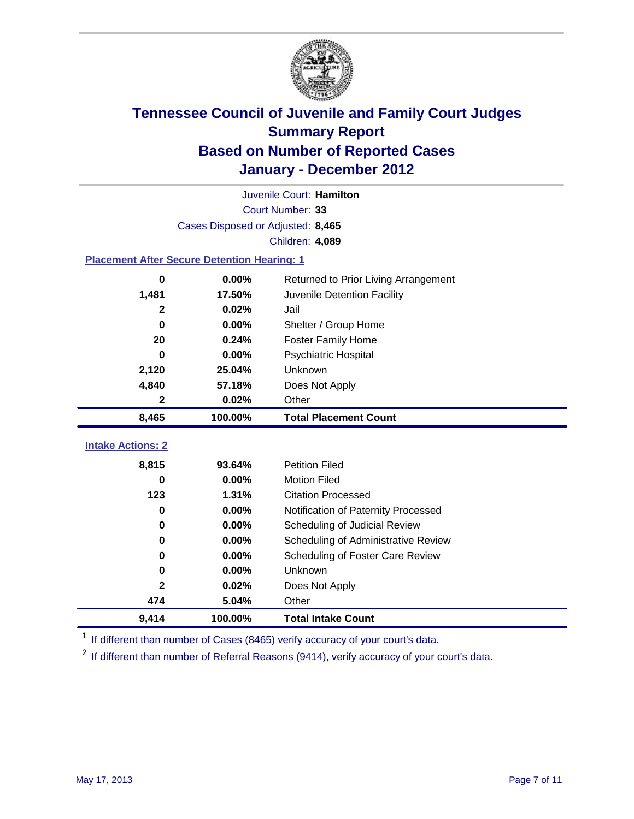

|                                                    | Juvenile Court: Hamilton<br>Court Number: 33 |                                      |  |  |  |
|----------------------------------------------------|----------------------------------------------|--------------------------------------|--|--|--|
|                                                    |                                              |                                      |  |  |  |
|                                                    | Cases Disposed or Adjusted: 8,465            |                                      |  |  |  |
| Children: 4,089                                    |                                              |                                      |  |  |  |
| <b>Placement After Secure Detention Hearing: 1</b> |                                              |                                      |  |  |  |
| 0                                                  | 0.00%                                        | Returned to Prior Living Arrangement |  |  |  |
| 1,481                                              | 17.50%                                       | Juvenile Detention Facility          |  |  |  |
| $\mathbf{2}$                                       | 0.02%                                        | Jail                                 |  |  |  |
| 0                                                  | 0.00%                                        | Shelter / Group Home                 |  |  |  |
| 20                                                 | 0.24%                                        | Foster Family Home                   |  |  |  |
| $\bf{0}$                                           | 0.00%                                        | Psychiatric Hospital                 |  |  |  |
| 2,120                                              | 25.04%                                       | Unknown                              |  |  |  |
| 4,840                                              | 57.18%                                       | Does Not Apply                       |  |  |  |
| $\mathbf{2}$                                       | 0.02%                                        | Other                                |  |  |  |
| 8,465                                              | 100.00%                                      | <b>Total Placement Count</b>         |  |  |  |
|                                                    |                                              |                                      |  |  |  |
| <b>Intake Actions: 2</b>                           |                                              |                                      |  |  |  |
| 8,815                                              | 93.64%                                       | <b>Petition Filed</b>                |  |  |  |
| $\bf{0}$                                           | 0.00%                                        | <b>Motion Filed</b>                  |  |  |  |
| 123                                                | 1.31%                                        | <b>Citation Processed</b>            |  |  |  |
| $\bf{0}$                                           | 0.00%                                        | Notification of Paternity Processed  |  |  |  |
| 0                                                  | 0.00%                                        | Scheduling of Judicial Review        |  |  |  |
| 0                                                  | 0.00%                                        | Scheduling of Administrative Review  |  |  |  |
| $\bf{0}$                                           | 0.00%                                        | Scheduling of Foster Care Review     |  |  |  |
| $\bf{0}$                                           | 0.00%                                        | Unknown                              |  |  |  |
| $\mathbf{2}$                                       | 0.02%                                        | Does Not Apply                       |  |  |  |
| 474                                                | 5.04%                                        | Other                                |  |  |  |
| 9,414                                              | 100.00%                                      | <b>Total Intake Count</b>            |  |  |  |

<sup>1</sup> If different than number of Cases (8465) verify accuracy of your court's data.

<sup>2</sup> If different than number of Referral Reasons (9414), verify accuracy of your court's data.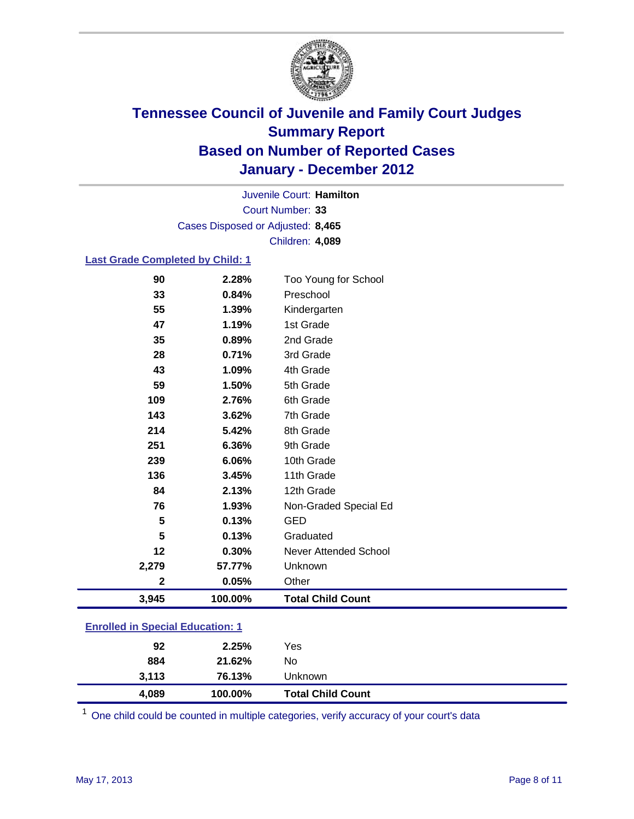

Court Number: **33** Juvenile Court: **Hamilton** Cases Disposed or Adjusted: **8,465** Children: **4,089**

#### **Last Grade Completed by Child: 1**

| 90                                      | 2.28%   | Too Young for School         |  |
|-----------------------------------------|---------|------------------------------|--|
| 33                                      | 0.84%   | Preschool                    |  |
| 55                                      | 1.39%   | Kindergarten                 |  |
| 47                                      | 1.19%   | 1st Grade                    |  |
| 35                                      | 0.89%   | 2nd Grade                    |  |
| 28                                      | 0.71%   | 3rd Grade                    |  |
| 43                                      | 1.09%   | 4th Grade                    |  |
| 59                                      | 1.50%   | 5th Grade                    |  |
| 109                                     | 2.76%   | 6th Grade                    |  |
| 143                                     | 3.62%   | 7th Grade                    |  |
| 214                                     | 5.42%   | 8th Grade                    |  |
| 251                                     | 6.36%   | 9th Grade                    |  |
| 239                                     | 6.06%   | 10th Grade                   |  |
| 136                                     | 3.45%   | 11th Grade                   |  |
| 84                                      | 2.13%   | 12th Grade                   |  |
| 76                                      | 1.93%   | Non-Graded Special Ed        |  |
| 5                                       | 0.13%   | <b>GED</b>                   |  |
| 5                                       | 0.13%   | Graduated                    |  |
| 12                                      | 0.30%   | <b>Never Attended School</b> |  |
| 2,279                                   | 57.77%  | Unknown                      |  |
| $\mathbf 2$                             | 0.05%   | Other                        |  |
| 3,945                                   | 100.00% | <b>Total Child Count</b>     |  |
| <b>Enrolled in Special Education: 1</b> |         |                              |  |

| 4,089 | 100.00% | <b>Total Child Count</b> |  |
|-------|---------|--------------------------|--|
| 3,113 | 76.13%  | Unknown                  |  |
| 884   | 21.62%  | No                       |  |
| 92    | 2.25%   | Yes                      |  |
|       |         |                          |  |

One child could be counted in multiple categories, verify accuracy of your court's data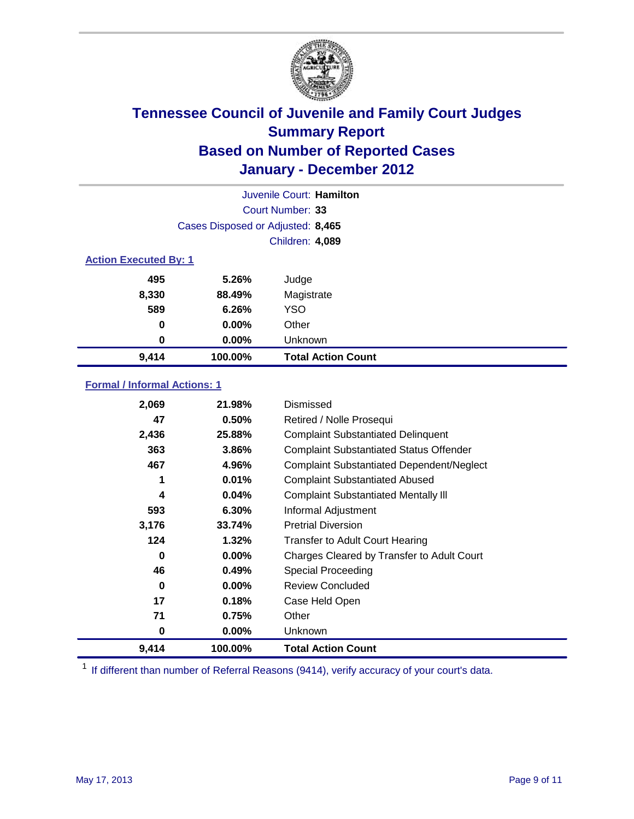

|                              | Juvenile Court: Hamilton          |                           |  |
|------------------------------|-----------------------------------|---------------------------|--|
|                              | Court Number: 33                  |                           |  |
|                              | Cases Disposed or Adjusted: 8,465 |                           |  |
|                              | Children: 4,089                   |                           |  |
| <b>Action Executed By: 1</b> |                                   |                           |  |
| 495                          | 5.26%                             | Judge                     |  |
| 8,330                        | 88.49%                            | Magistrate                |  |
| 589                          | 6.26%                             | <b>YSO</b>                |  |
| 0                            | $0.00\%$                          | Other                     |  |
| 0                            | 0.00%                             | Unknown                   |  |
| 9,414                        | 100.00%                           | <b>Total Action Count</b> |  |

### **Formal / Informal Actions: 1**

| 2,069 | 21.98%   | Dismissed                                        |
|-------|----------|--------------------------------------------------|
| 47    | 0.50%    | Retired / Nolle Prosequi                         |
| 2,436 | 25.88%   | <b>Complaint Substantiated Delinquent</b>        |
| 363   | 3.86%    | <b>Complaint Substantiated Status Offender</b>   |
| 467   | 4.96%    | <b>Complaint Substantiated Dependent/Neglect</b> |
| 1     | 0.01%    | <b>Complaint Substantiated Abused</b>            |
| 4     | 0.04%    | <b>Complaint Substantiated Mentally III</b>      |
| 593   | 6.30%    | Informal Adjustment                              |
| 3,176 | 33.74%   | <b>Pretrial Diversion</b>                        |
| 124   | 1.32%    | <b>Transfer to Adult Court Hearing</b>           |
| 0     | $0.00\%$ | Charges Cleared by Transfer to Adult Court       |
| 46    | 0.49%    | <b>Special Proceeding</b>                        |
| 0     | $0.00\%$ | <b>Review Concluded</b>                          |
| 17    | 0.18%    | Case Held Open                                   |
| 71    | 0.75%    | Other                                            |
| 0     | $0.00\%$ | Unknown                                          |
| 9,414 | 100.00%  | <b>Total Action Count</b>                        |

<sup>1</sup> If different than number of Referral Reasons (9414), verify accuracy of your court's data.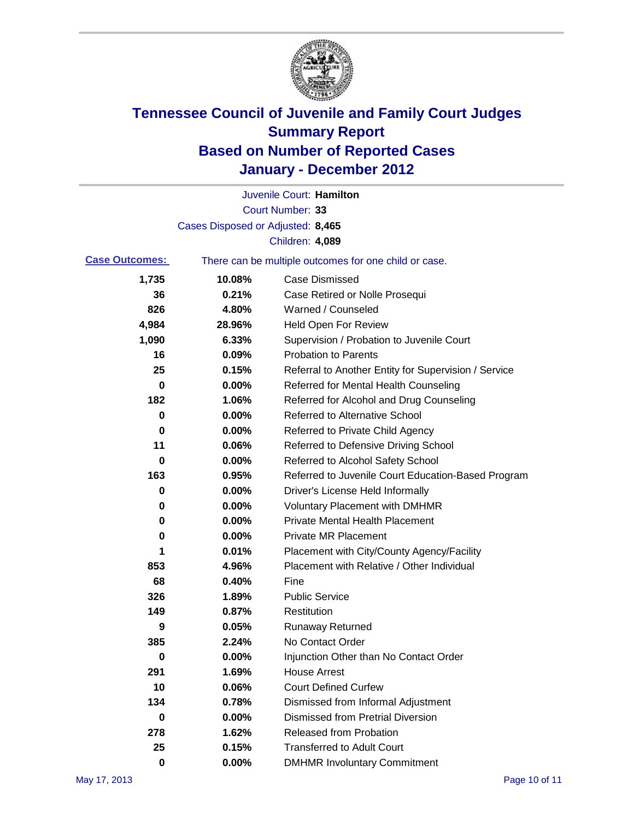

|                       |                                   | Juvenile Court: Hamilton                              |
|-----------------------|-----------------------------------|-------------------------------------------------------|
|                       |                                   | Court Number: 33                                      |
|                       | Cases Disposed or Adjusted: 8,465 |                                                       |
|                       |                                   | Children: 4,089                                       |
| <b>Case Outcomes:</b> |                                   | There can be multiple outcomes for one child or case. |
| 1,735                 | 10.08%                            | <b>Case Dismissed</b>                                 |
| 36                    | 0.21%                             | Case Retired or Nolle Prosequi                        |
| 826                   | 4.80%                             | Warned / Counseled                                    |
| 4,984                 | 28.96%                            | <b>Held Open For Review</b>                           |
| 1,090                 | 6.33%                             | Supervision / Probation to Juvenile Court             |
| 16                    | 0.09%                             | <b>Probation to Parents</b>                           |
| 25                    | 0.15%                             | Referral to Another Entity for Supervision / Service  |
| 0                     | 0.00%                             | Referred for Mental Health Counseling                 |
| 182                   | 1.06%                             | Referred for Alcohol and Drug Counseling              |
| 0                     | 0.00%                             | <b>Referred to Alternative School</b>                 |
| 0                     | 0.00%                             | Referred to Private Child Agency                      |
| 11                    | 0.06%                             | Referred to Defensive Driving School                  |
| 0                     | 0.00%                             | Referred to Alcohol Safety School                     |
| 163                   | 0.95%                             | Referred to Juvenile Court Education-Based Program    |
| 0                     | 0.00%                             | Driver's License Held Informally                      |
| 0                     | 0.00%                             | <b>Voluntary Placement with DMHMR</b>                 |
| 0                     | 0.00%                             | <b>Private Mental Health Placement</b>                |
| 0                     | 0.00%                             | <b>Private MR Placement</b>                           |
| 1                     | 0.01%                             | Placement with City/County Agency/Facility            |
| 853                   | 4.96%                             | Placement with Relative / Other Individual            |
| 68                    | 0.40%                             | Fine                                                  |
| 326                   | 1.89%                             | <b>Public Service</b>                                 |
| 149                   | 0.87%                             | Restitution                                           |
| 9                     | 0.05%                             | <b>Runaway Returned</b>                               |
| 385                   | 2.24%                             | No Contact Order                                      |
| 0                     | 0.00%                             | Injunction Other than No Contact Order                |
| 291                   | 1.69%                             | <b>House Arrest</b>                                   |
| 10                    | 0.06%                             | <b>Court Defined Curfew</b>                           |
| 134                   | 0.78%                             | Dismissed from Informal Adjustment                    |
| 0                     | 0.00%                             | <b>Dismissed from Pretrial Diversion</b>              |
| 278                   | 1.62%                             | <b>Released from Probation</b>                        |
| 25                    | 0.15%                             | <b>Transferred to Adult Court</b>                     |
| $\bf{0}$              | $0.00\%$                          | <b>DMHMR Involuntary Commitment</b>                   |